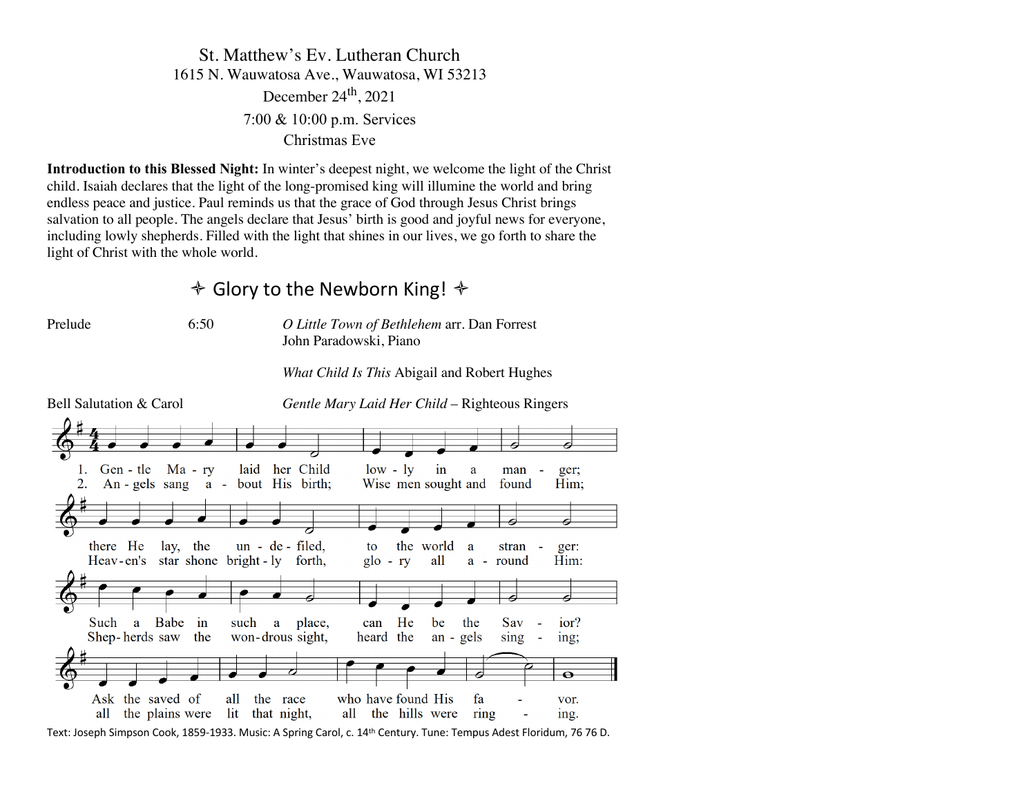# St. Matthew's Ev. Lutheran Church 1615 N. Wauwatosa Ave., Wauwatosa, WI 53213 December  $24<sup>th</sup>$ , 2021 7:00 & 10:00 p.m. Services Christmas Eve

**Introduction to this Blessed Night:** In winter's deepest night, we welcome the light of the Christ child. Isaiah declares that the light of the long-promised king will illumine the world and bring endless peace and justice. Paul reminds us that the grace of God through Jesus Christ brings salvation to all people. The angels declare that Jesus' birth is good and joyful news for everyone, including lowly shepherds. Filled with the light that shines in our lives, we go forth to share the light of Christ with the whole world.

# $\triangle$  Glory to the Newborn King!  $\triangle$

Prelude 6:50 *O Little Town of Bethlehem* arr. Dan Forrest John Paradowski, Piano

*What Child Is This* Abigail and Robert Hughes

Bell Salutation & Carol *Gentle Mary Laid Her Child* – Righteous Ringers her Child  $low - iv$ 1. Gen - tle  $Ma - rv$ laid in a man ger:  $2<sup>1</sup>$  $An - gels$  sang bout His birth; Wise men sought and  $a$ found Him: P there He lay, the un - de - filed. the world to a stran ger: Heav-en's star shone bright-ly all Him: forth.  $g|_0$  -  $ry$ round  $a$ a Babe **Such**  $in$ such a place. can He be the Sav ior? Shep-herds saw won-drous sight, heard the  $an - \text{gels}$ the sing  $\overline{a}$ ing;  $\overline{\bullet}$ who have found His Ask the saved of all the race fa vor. all the plains were lit that night, all the hills were ring ing.

Text: Joseph Simpson Cook, 1859-1933. Music: A Spring Carol, c. 14th Century. Tune: Tempus Adest Floridum, 76 76 D.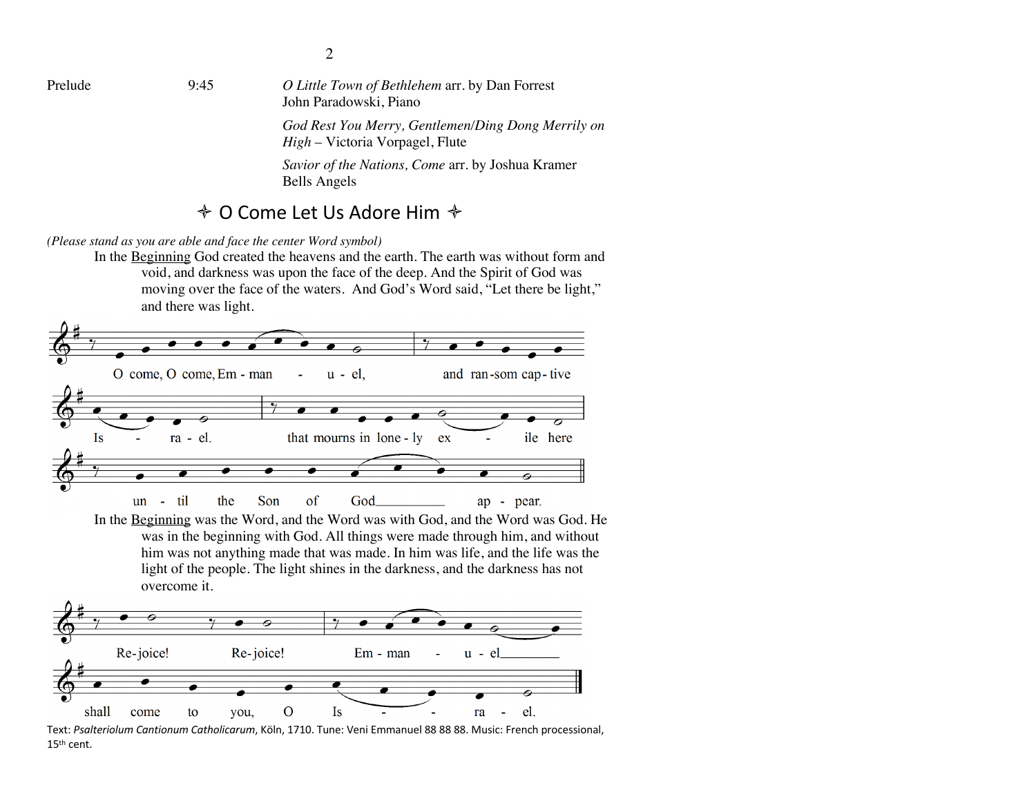*Savior of the Nations, Come* arr. by Joshua Kramer Bells Angels

## $\triangle$  O Come Let Us Adore Him  $\triangle$

*(Please stand as you are able and face the center Word symbol)*

In the Beginning God created the heavens and the earth. The earth was without form and void, and darkness was upon the face of the deep. And the Spirit of God was moving over the face of the waters. And God's Word said, "Let there be light," and there was light.



Text: *Psalteriolum Cantionum Catholicarum*, Köln, 1710. Tune: Veni Emmanuel 88 88 88. Music: French processional, 15th cent.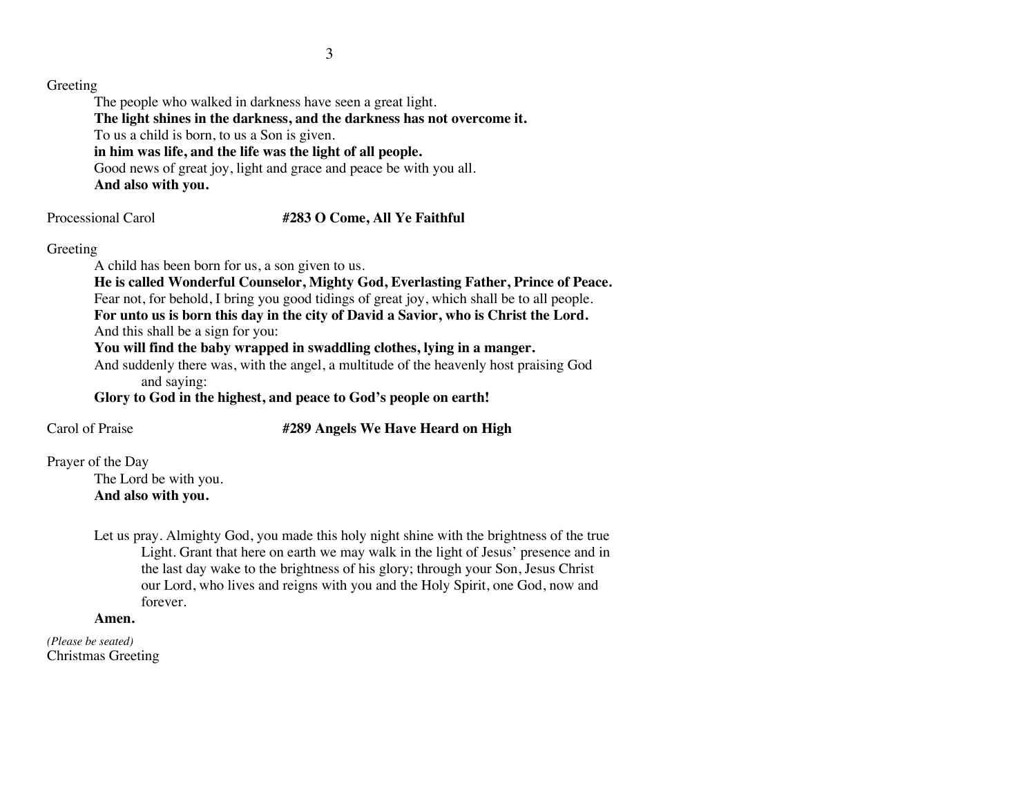### Greeting

The people who walked in darkness have seen a great light. **The light shines in the darkness, and the darkness has not overcome it.** To us a child is born, to us a Son is given. **in him was life, and the life was the light of all people.** Good news of great joy, light and grace and peace be with you all. **And also with you.**

## Processional Carol **#283 O Come, All Ye Faithful**

## Greeting

A child has been born for us, a son given to us.

**He is called Wonderful Counselor, Mighty God, Everlasting Father, Prince of Peace.** Fear not, for behold, I bring you good tidings of great joy, which shall be to all people. **For unto us is born this day in the city of David a Savior, who is Christ the Lord.** And this shall be a sign for you:

**You will find the baby wrapped in swaddling clothes, lying in a manger.**

And suddenly there was, with the angel, a multitude of the heavenly host praising God and saying:

**Glory to God in the highest, and peace to God's people on earth!**

## Carol of Praise **#289 Angels We Have Heard on High**

Prayer of the Day

The Lord be with you. **And also with you.**

Let us pray. Almighty God, you made this holy night shine with the brightness of the true Light. Grant that here on earth we may walk in the light of Jesus' presence and in the last day wake to the brightness of his glory; through your Son, Jesus Christ our Lord, who lives and reigns with you and the Holy Spirit, one God, now and forever.

### **Amen.**

*(Please be seated)* Christmas Greeting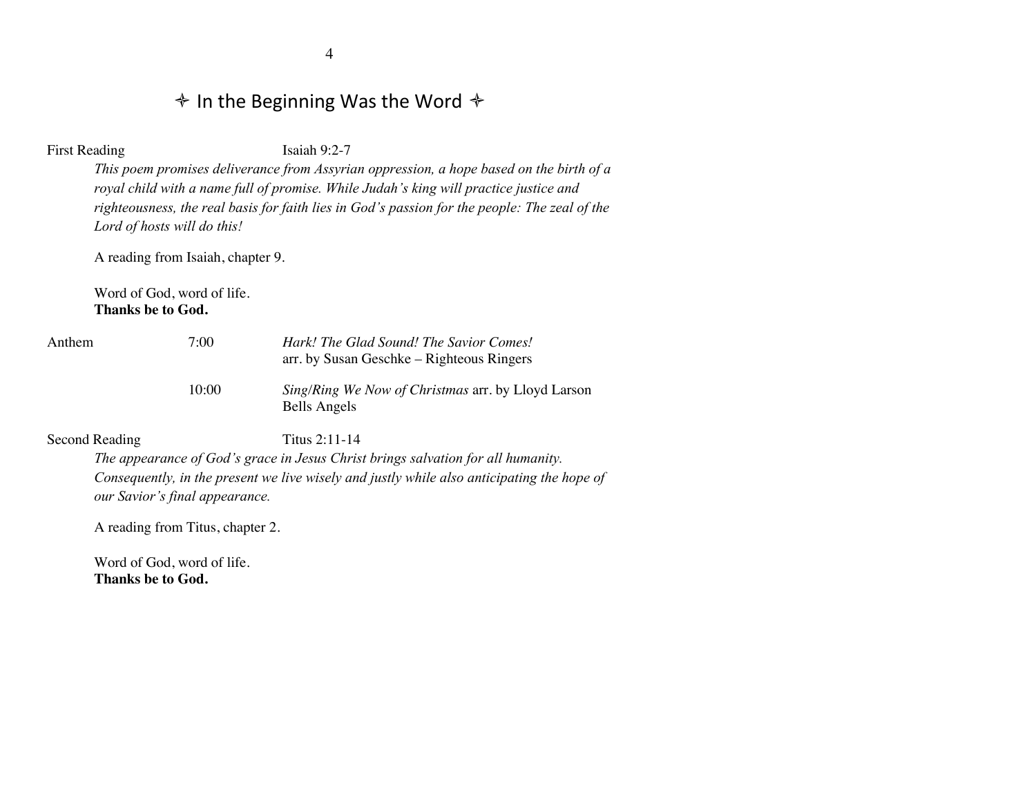# $\diamond$  In the Beginning Was the Word  $\diamond$

First Reading Isaiah 9:2-7

*This poem promises deliverance from Assyrian oppression, a hope based on the birth of a royal child with a name full of promise. While Judah's king will practice justice and righteousness, the real basis for faith lies in God's passion for the people: The zeal of the Lord of hosts will do this!*

A reading from Isaiah, chapter 9.

Word of God, word of life. **Thanks be to God.**

| Anthem | 7:00  | Hark! The Glad Sound! The Savior Comes!<br>arr. by Susan Geschke – Righteous Ringers |
|--------|-------|--------------------------------------------------------------------------------------|
|        | 10:00 | <i>Sing/Ring We Now of Christmas arr.</i> by Lloyd Larson<br>Bells Angels            |

Second Reading Titus 2:11-14

*The appearance of God's grace in Jesus Christ brings salvation for all humanity. Consequently, in the present we live wisely and justly while also anticipating the hope of our Savior's final appearance.* 

A reading from Titus, chapter 2.

Word of God, word of life. **Thanks be to God.**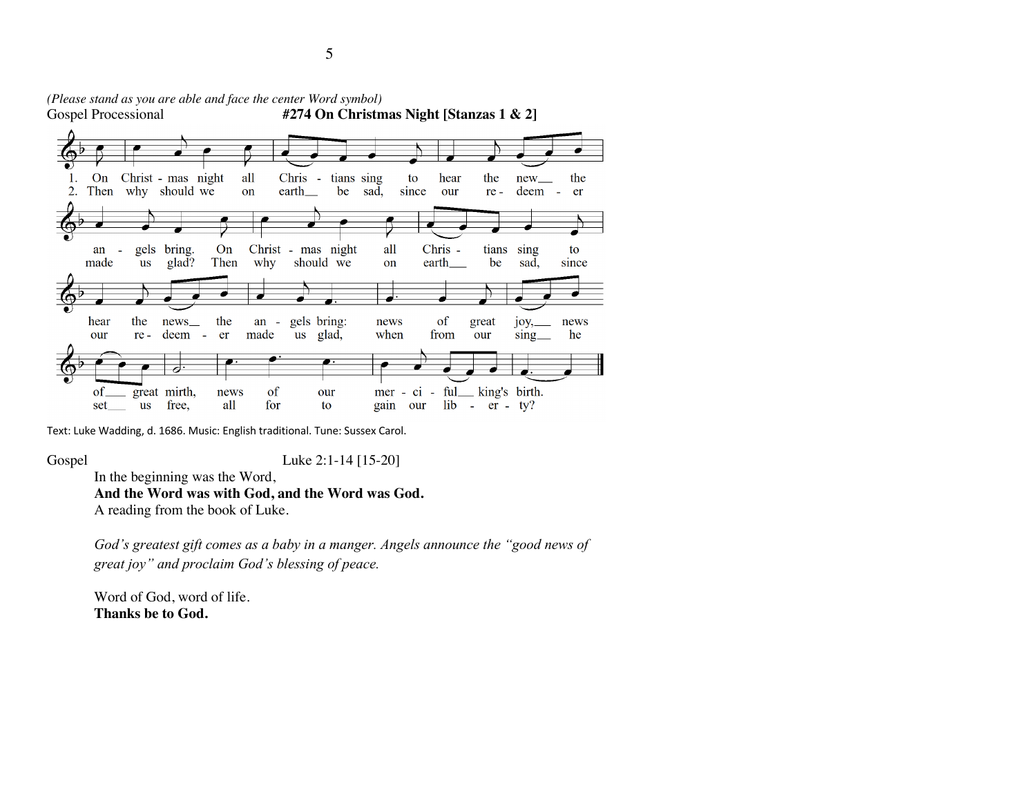

*(Please stand as you are able and face the center Word symbol)* #274 On Christmas Night [Stanzas 1 & 2]

Text: Luke Wadding, d. 1686. Music: English traditional. Tune: Sussex Carol.

Gospel Luke 2:1-14 [15-20]

In the beginning was the Word,

**And the Word was with God, and the Word was God.**

A reading from the book of Luke.

*God's greatest gift comes as a baby in a manger. Angels announce the "good news of great joy" and proclaim God's blessing of peace.*

Word of God, word of life. **Thanks be to God.**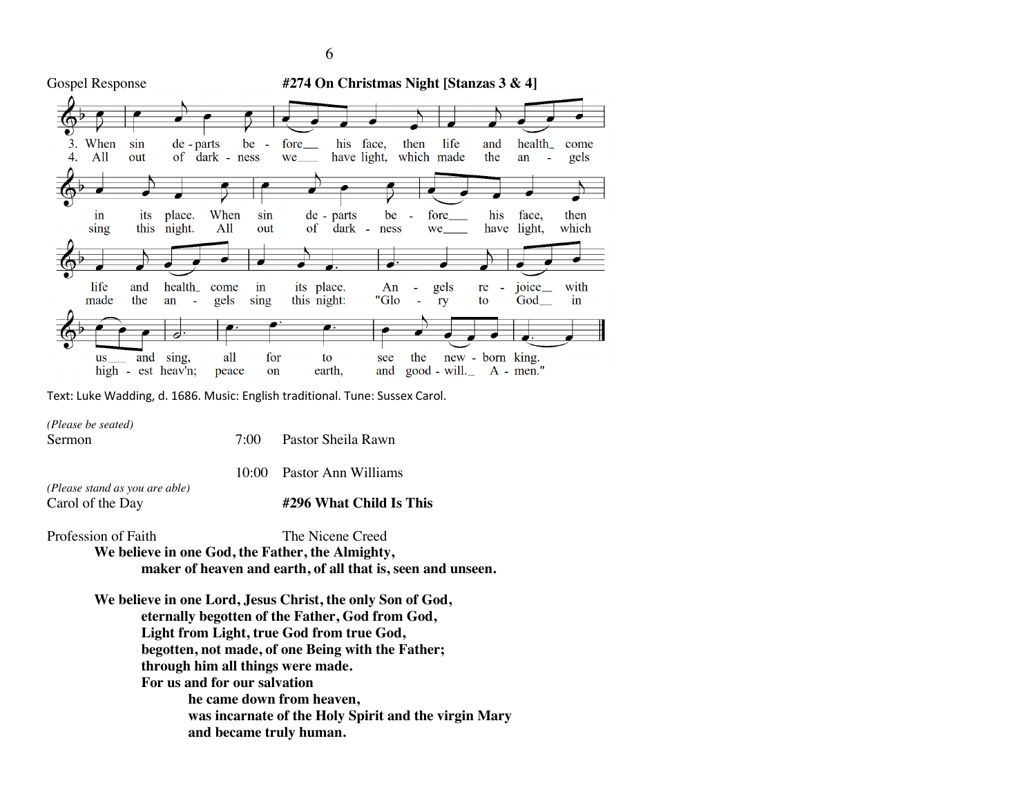

Text: Luke Wadding, d. 1686. Music: English traditional. Tune: Sussex Carol.

*(Please be seated)* Sermon 7:00 Pastor Sheila Rawn 10:00 Pastor Ann Williams *(Please stand as you are able)* Carol of the Day **#296 What Child Is This**

Profession of Faith The Nicene Creed **We believe in one God, the Father, the Almighty, maker of heaven and earth, of all that is, seen and unseen.**

> **We believe in one Lord, Jesus Christ, the only Son of God, eternally begotten of the Father, God from God, Light from Light, true God from true God, begotten, not made, of one Being with the Father; through him all things were made. For us and for our salvation he came down from heaven, was incarnate of the Holy Spirit and the virgin Mary and became truly human.**

6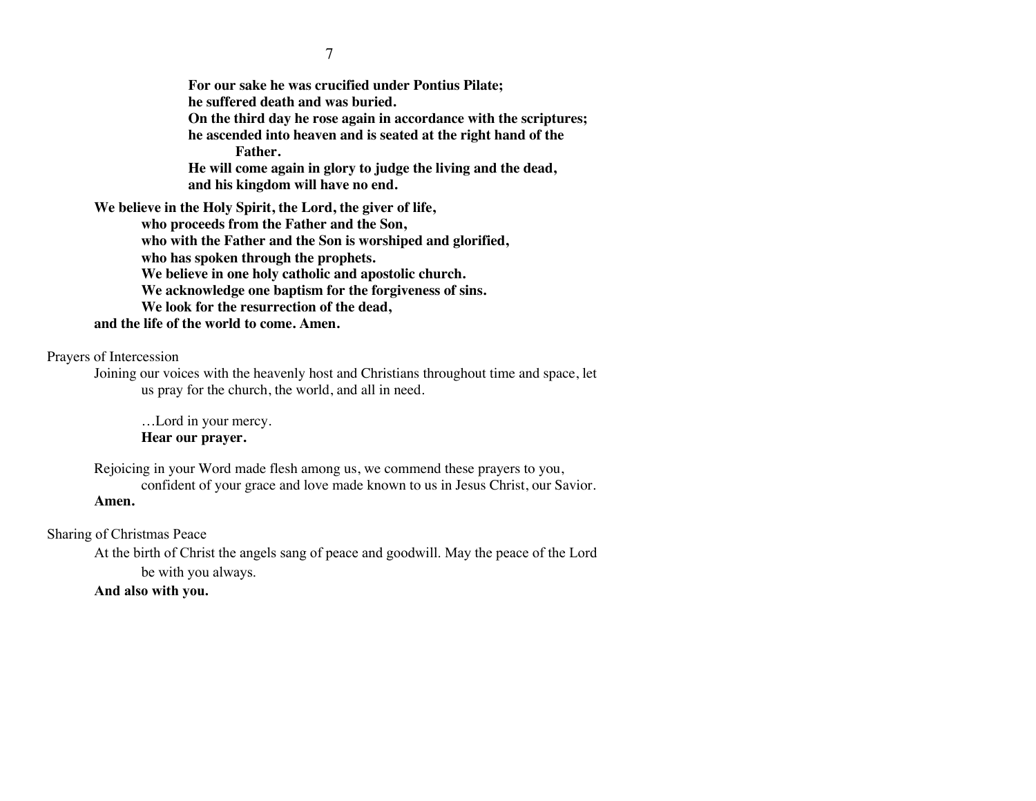**For our sake he was crucified under Pontius Pilate; he suffered death and was buried. On the third day he rose again in accordance with the scriptures; he ascended into heaven and is seated at the right hand of the Father. He will come again in glory to judge the living and the dead, and his kingdom will have no end. We believe in the Holy Spirit, the Lord, the giver of life, who proceeds from the Father and the Son, who with the Father and the Son is worshiped and glorified, who has spoken through the prophets.** 

**We believe in one holy catholic and apostolic church.** 

**We acknowledge one baptism for the forgiveness of sins.** 

**We look for the resurrection of the dead,** 

### **and the life of the world to come. Amen.**

Prayers of Intercession

Joining our voices with the heavenly host and Christians throughout time and space, let us pray for the church, the world, and all in need.

…Lord in your mercy. **Hear our prayer.**

Rejoicing in your Word made flesh among us, we commend these prayers to you, confident of your grace and love made known to us in Jesus Christ, our Savior. **Amen.**

Sharing of Christmas Peace

At the birth of Christ the angels sang of peace and goodwill. May the peace of the Lord be with you always.

### **And also with you.**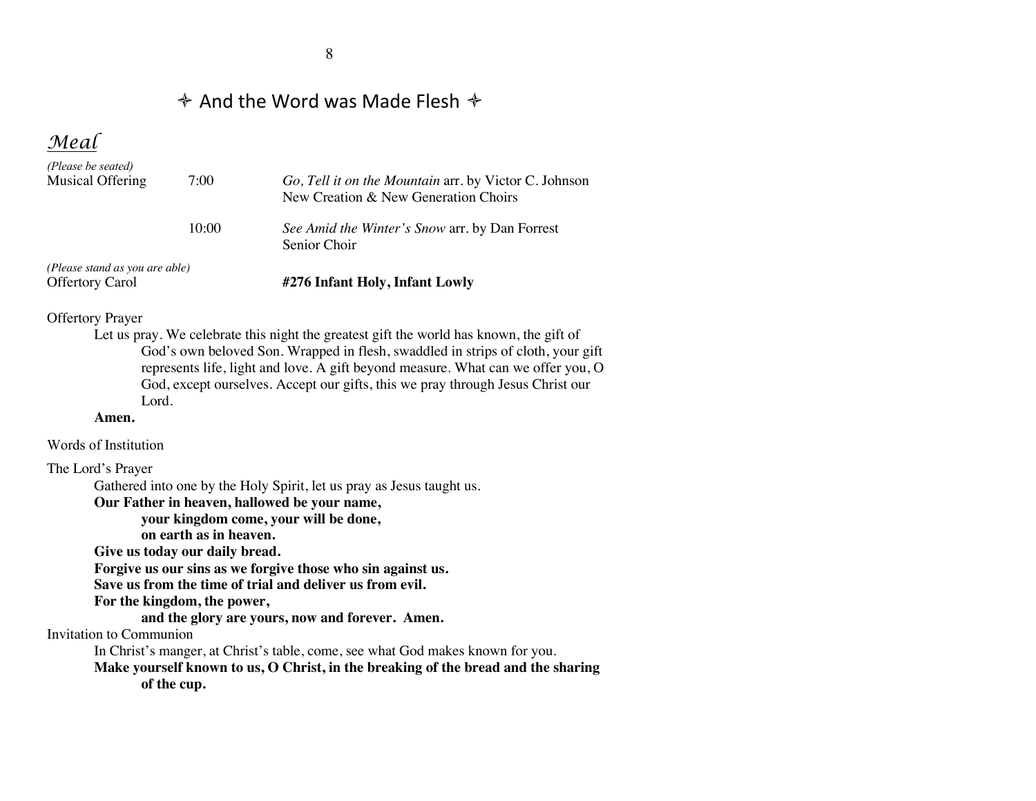## $\triangle$  And the Word was Made Flesh  $\triangle$

*Meal*

| (Please stand as you are able)<br><b>Offertory Carol</b> |       | #276 Infant Holy, Infant Lowly                                                                |
|----------------------------------------------------------|-------|-----------------------------------------------------------------------------------------------|
|                                                          | 10:00 | See Amid the Winter's Snow arr. by Dan Forrest<br>Senior Choir                                |
| (Please be seated)<br>Musical Offering                   | 7:00  | Go, Tell it on the Mountain arr. by Victor C. Johnson<br>New Creation & New Generation Choirs |

#### Offertory Prayer

Let us pray. We celebrate this night the greatest gift the world has known, the gift of God's own beloved Son. Wrapped in flesh, swaddled in strips of cloth, your gift represents life, light and love. A gift beyond measure. What can we offer you, O God, except ourselves. Accept our gifts, this we pray through Jesus Christ our Lord.

#### **Amen.**

Words of Institution

The Lord's Prayer

Gathered into one by the Holy Spirit, let us pray as Jesus taught us.

**Our Father in heaven, hallowed be your name,** 

**your kingdom come, your will be done,** 

**on earth as in heaven.**

**Give us today our daily bread.** 

**Forgive us our sins as we forgive those who sin against us.** 

**Save us from the time of trial and deliver us from evil.**

**For the kingdom, the power,** 

**and the glory are yours, now and forever. Amen.**

Invitation to Communion

In Christ's manger, at Christ's table, come, see what God makes known for you.

**Make yourself known to us, O Christ, in the breaking of the bread and the sharing of the cup.**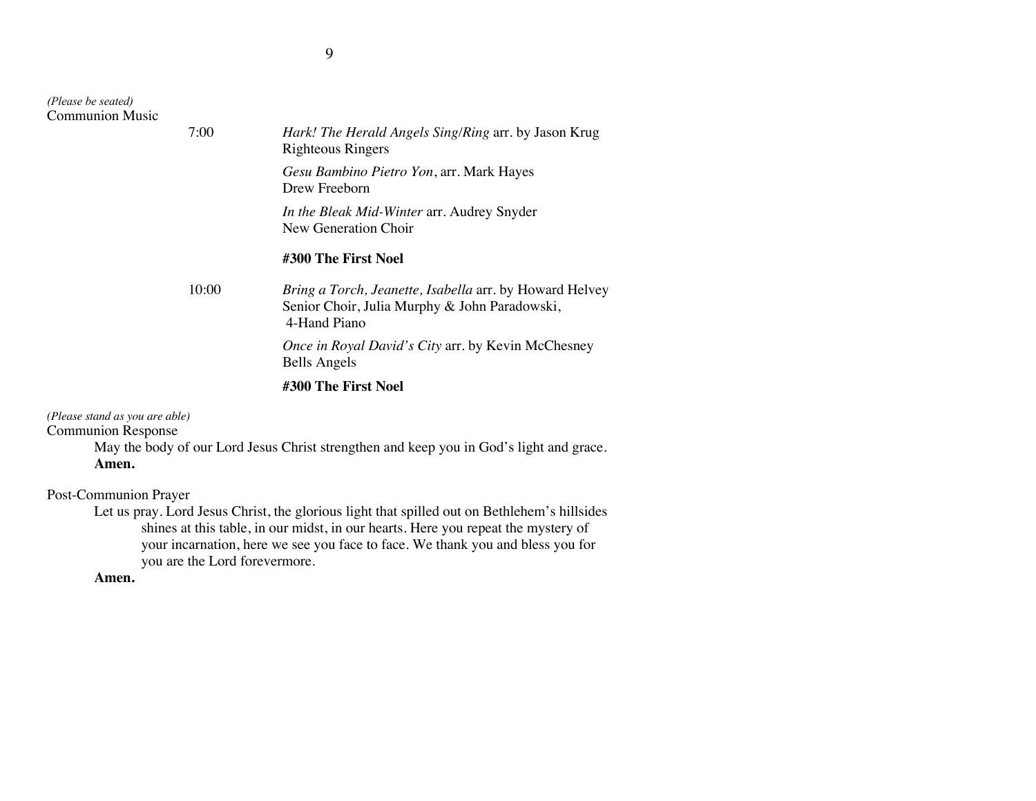| (Please be seated)<br><b>Communion Music</b> |       |                                                                                                                                 |
|----------------------------------------------|-------|---------------------------------------------------------------------------------------------------------------------------------|
|                                              | 7:00  | Hark! The Herald Angels Sing/Ring arr. by Jason Krug<br>Righteous Ringers                                                       |
|                                              |       | Gesu Bambino Pietro Yon, arr. Mark Hayes<br>Drew Freeborn                                                                       |
|                                              |       | In the Bleak Mid-Winter arr. Audrey Snyder<br>New Generation Choir                                                              |
|                                              |       | #300 The First Noel                                                                                                             |
|                                              | 10:00 | <i>Bring a Torch, Jeanette, Isabella arr. by Howard Helvey</i><br>Senior Choir, Julia Murphy & John Paradowski,<br>4-Hand Piano |
|                                              |       | <i>Once in Royal David's City arr.</i> by Kevin McChesney<br><b>Bells Angels</b>                                                |
|                                              |       | #300 The First Noel                                                                                                             |

*(Please stand as you are able)*

Communion Response

May the body of our Lord Jesus Christ strengthen and keep you in God's light and grace. **Amen.**

Post-Communion Prayer

Let us pray. Lord Jesus Christ, the glorious light that spilled out on Bethlehem's hillsides shines at this table, in our midst, in our hearts. Here you repeat the mystery of your incarnation, here we see you face to face. We thank you and bless you for you are the Lord forevermore.

**Amen.**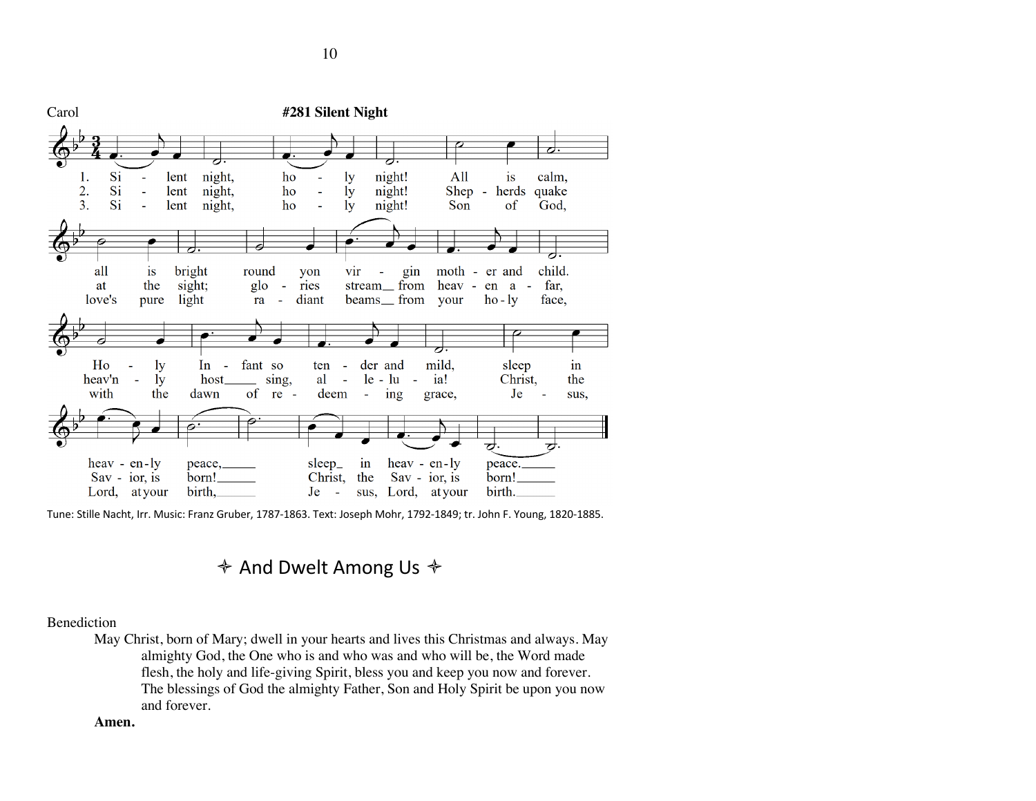

Tune: Stille Nacht, Irr. Music: Franz Gruber, 1787-1863. Text: Joseph Mohr, 1792-1849; tr. John F. Young, 1820-1885.

 $\diamond$  And Dwelt Among Us  $\diamond$ 

### Benediction

May Christ, born of Mary; dwell in your hearts and lives this Christmas and always. May almighty God, the One who is and who was and who will be, the Word made flesh, the holy and life-giving Spirit, bless you and keep you now and forever. The blessings of God the almighty Father, Son and Holy Spirit be upon you now and forever.

#### **Amen.**